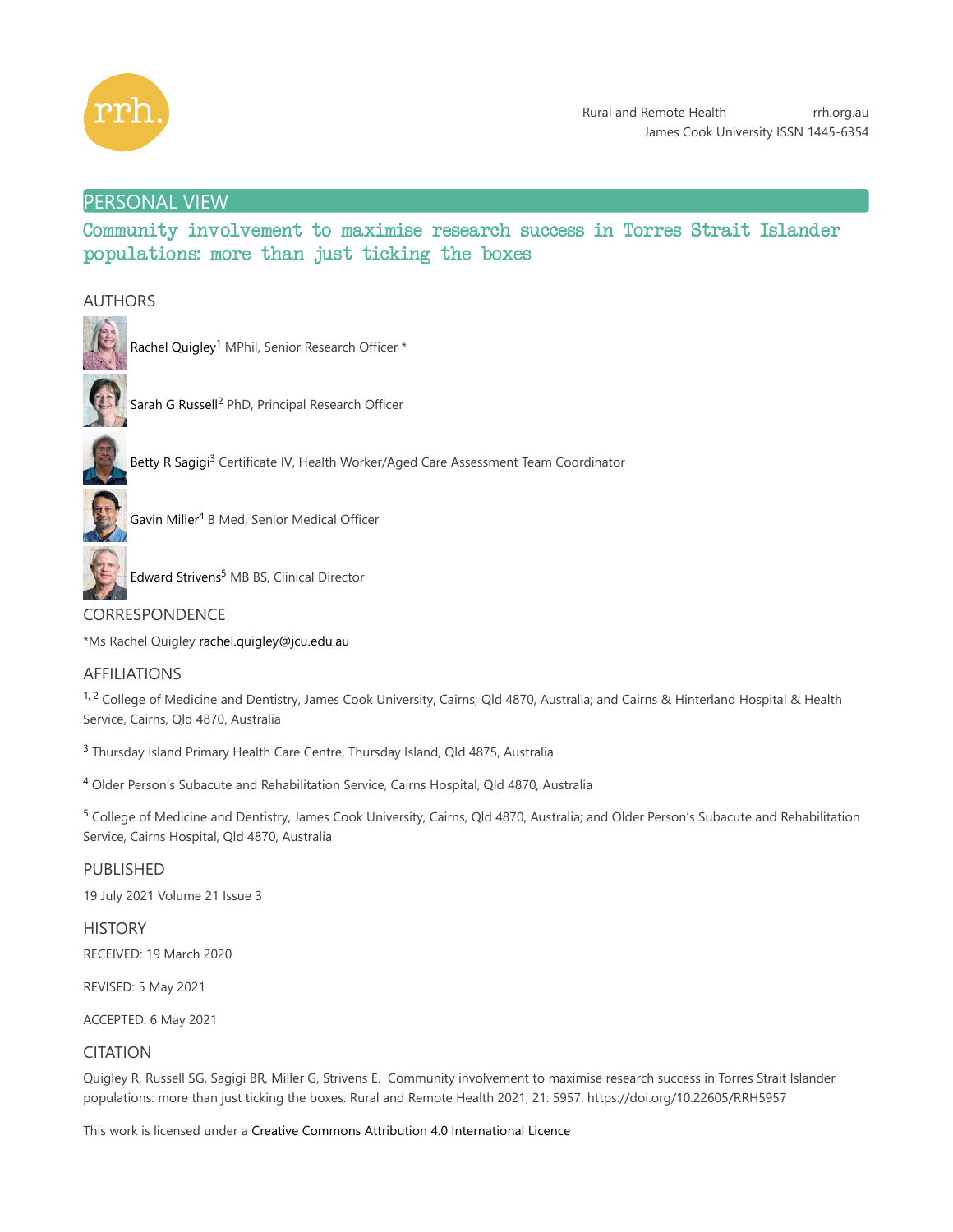

# PERSONAL VIEW

Community involvement to maximise research success in Torres Strait Islander populations: more than just ticking the boxes

# AUTHORS



Rachel Quigley<sup>1</sup> MPhil, Senior Research Officer \*



Sarah G Russell<sup>2</sup> PhD, Principal Research Officer



Betty R Sagigi<sup>3</sup> Certificate IV, Health Worker/Aged Care Assessment Team Coordinator



Gavin Miller<sup>4</sup> B Med, Senior Medical Officer



Edward Strivens<sup>5</sup> MB BS, Clinical Director

# CORRESPONDENCE

\*Ms Rachel Quigley rachel.quigley@jcu.edu.au

# AFFILIATIONS

<sup>1, 2</sup> College of Medicine and Dentistry, James Cook University, Cairns, Qld 4870, Australia; and Cairns & Hinterland Hospital & Health Service, Cairns, Qld 4870, Australia

<sup>3</sup> Thursday Island Primary Health Care Centre, Thursday Island, Qld 4875, Australia

<sup>4</sup> Older Person's Subacute and Rehabilitation Service, Cairns Hospital, Qld 4870, Australia

<sup>5</sup> College of Medicine and Dentistry, James Cook University, Cairns, Qld 4870, Australia; and Older Person's Subacute and Rehabilitation Service, Cairns Hospital, Qld 4870, Australia

PUBLISHED

19 July 2021 Volume 21 Issue 3

**HISTORY** RECEIVED: 19 March 2020

REVISED: 5 May 2021

ACCEPTED: 6 May 2021

# **CITATION**

Quigley R, Russell SG, Sagigi BR, Miller G, Strivens E. Community involvement to maximise research success in Torres Strait Islander populations: more than just ticking the boxes. Rural and Remote Health 2021; 21: 5957. https://doi.org/10.22605/RRH5957

This work is licensed under a Creative Commons Attribution 4.0 International Licence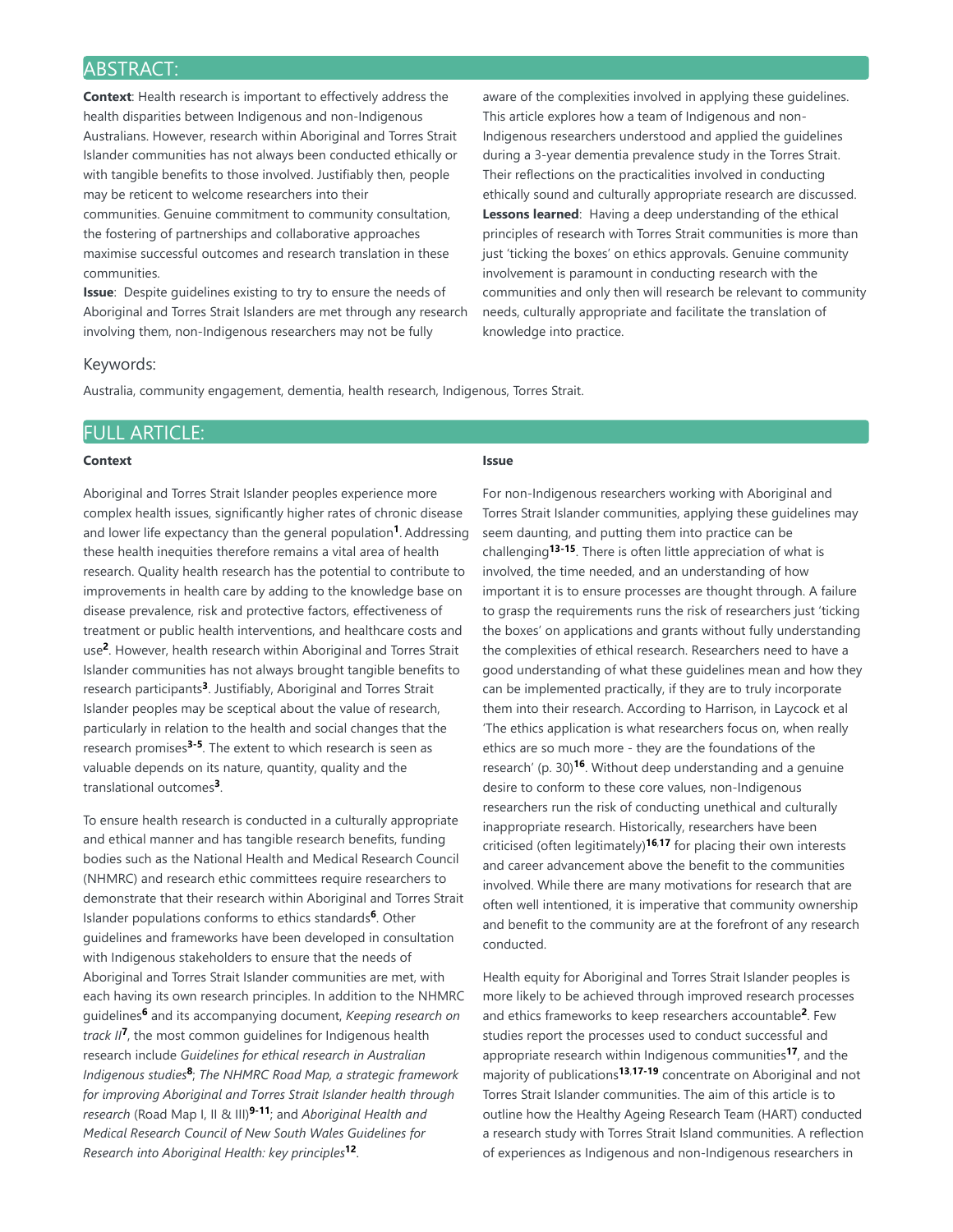# ABSTRACT:

**Context**: Health research is important to effectively address the health disparities between Indigenous and non-Indigenous Australians. However, research within Aboriginal and Torres Strait Islander communities has not always been conducted ethically or with tangible benefits to those involved. Justifiably then, people may be reticent to welcome researchers into their communities. Genuine commitment to community consultation, the fostering of partnerships and collaborative approaches maximise successful outcomes and research translation in these communities.

**Issue**: Despite guidelines existing to try to ensure the needs of Aboriginal and Torres Strait Islanders are met through any research involving them, non-Indigenous researchers may not be fully

aware of the complexities involved in applying these guidelines. This article explores how a team of Indigenous and non-Indigenous researchers understood and applied the guidelines during a 3-year dementia prevalence study in the Torres Strait. Their reflections on the practicalities involved in conducting ethically sound and culturally appropriate research are discussed. **Lessons learned**: Having a deep understanding of the ethical principles of research with Torres Strait communities is more than just 'ticking the boxes' on ethics approvals. Genuine community involvement is paramount in conducting research with the communities and only then will research be relevant to community needs, culturally appropriate and facilitate the translation of knowledge into practice.

### Keywords:

Australia, community engagement, dementia, health research, Indigenous, Torres Strait.

### FULL ARTICLE:

### **Context**

Aboriginal and Torres Strait Islander peoples experience more complex health issues, significantly higher rates of chronic disease and lower life expectancy than the general population<sup>1</sup>. Addressing these health inequities therefore remains a vital area of health research. Quality health research has the potential to contribute to improvements in health care by adding to the knowledge base on disease prevalence, risk and protective factors, effectiveness of treatment or public health interventions, and healthcare costs and use<sup>2</sup>. However, health research within Aboriginal and Torres Strait Islander communities has not always brought tangible benefits to research participants<sup>3</sup>. Justifiably, Aboriginal and Torres Strait Islander peoples may be sceptical about the value of research, particularly in relation to the health and social changes that the research promises<sup>3-5</sup>. The extent to which research is seen as valuable depends on its nature, quantity, quality and the translational outcomes<sup>3</sup>.

To ensure health research is conducted in a culturally appropriate and ethical manner and has tangible research benefits, funding bodies such as the National Health and Medical Research Council (NHMRC) and research ethic committees require researchers to demonstrate that their research within Aboriginal and Torres Strait Islander populations conforms to ethics standards<sup>6</sup>. Other guidelines and frameworks have been developed in consultation with Indigenous stakeholders to ensure that the needs of Aboriginal and Torres Strait Islander communities are met, with each having its own research principles. In addition to the NHMRC quidelines<sup>6</sup> and its accompanying document, *Keeping research on* track II<sup>7</sup>, the most common guidelines for Indigenous health research include *Guidelines for ethical research in Australian* Indigenous studies<sup>8</sup>; The NHMRC Road Map, a strategic framework *for improving Aboriginal and Torres Strait Islander health through* research (Road Map I, II & III)<sup>9-11</sup>; and *Aboriginal Health and Medical Research Council of New South Wales Guidelines for* Research into Aboriginal Health: key principles<sup>12</sup>.

## **Issue**

For non-Indigenous researchers working with Aboriginal and Torres Strait Islander communities, applying these guidelines may seem daunting, and putting them into practice can be challenging<sup>13-15</sup>. There is often little appreciation of what is involved, the time needed, and an understanding of how important it is to ensure processes are thought through. A failure to grasp the requirements runs the risk of researchers just 'ticking the boxes' on applications and grants without fully understanding the complexities of ethical research. Researchers need to have a good understanding of what these guidelines mean and how they can be implemented practically, if they are to truly incorporate them into their research. According to Harrison, in Laycock et al 'The ethics application is what researchers focus on, when really ethics are so much more - they are the foundations of the research' (p. 30)<sup>16</sup>. Without deep understanding and a genuine desire to conform to these core values, non-Indigenous researchers run the risk of conducting unethical and culturally inappropriate research. Historically, researchers have been criticised (often legitimately)<sup>16,17</sup> for placing their own interests and career advancement above the benefit to the communities involved. While there are many motivations for research that are often well intentioned, it is imperative that community ownership and benefit to the community are at the forefront of any research conducted.

Health equity for Aboriginal and Torres Strait Islander peoples is more likely to be achieved through improved research processes and ethics frameworks to keep researchers accountable<sup>2</sup>. Few studies report the processes used to conduct successful and appropriate research within Indigenous communities<sup>17</sup>, and the majority of publications<sup>13,17-19</sup> concentrate on Aboriginal and not Torres Strait Islander communities. The aim of this article is to outline how the Healthy Ageing Research Team (HART) conducted a research study with Torres Strait Island communities. A reflection of experiences as Indigenous and non-Indigenous researchers in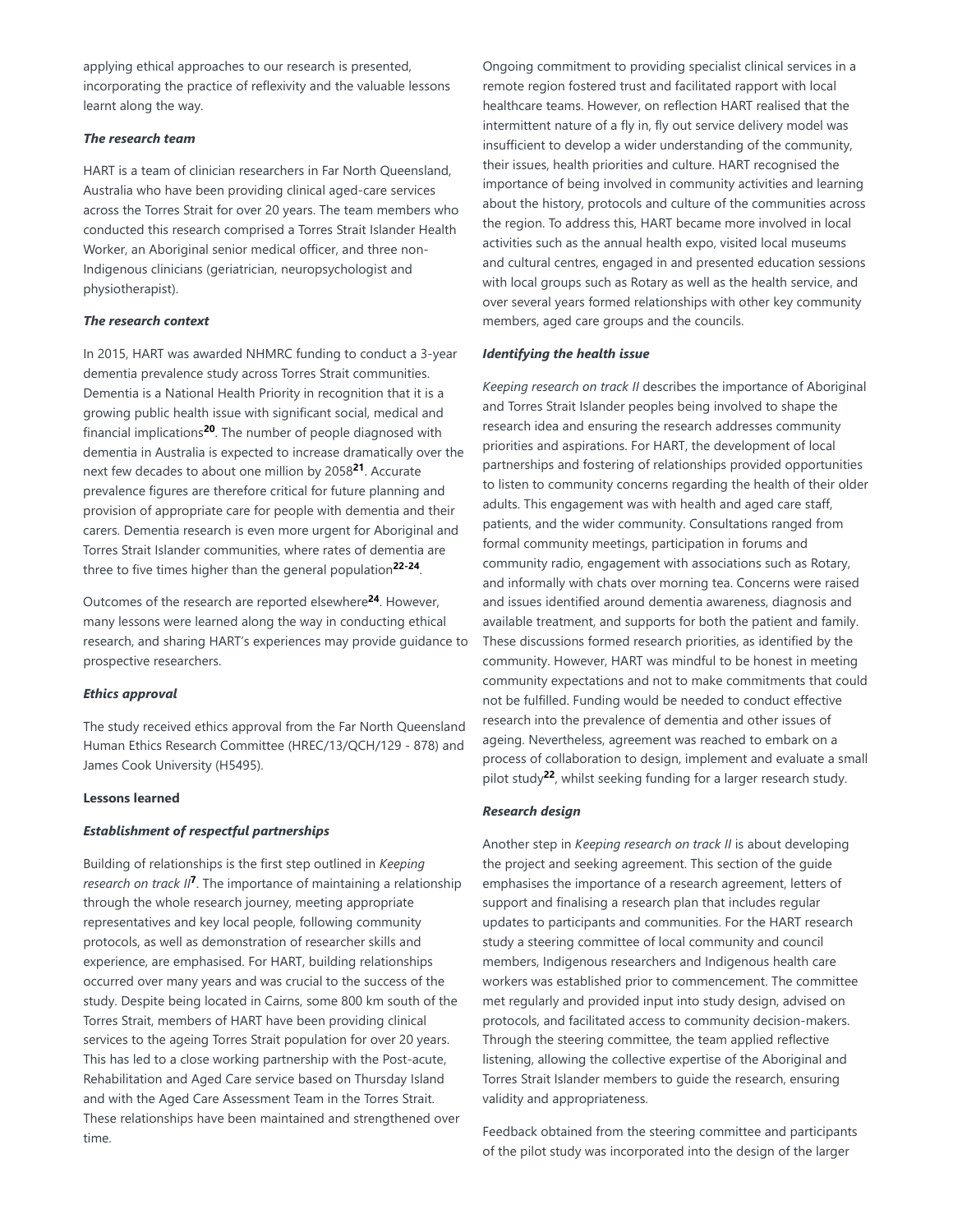applying ethical approaches to our research is presented, incorporating the practice of reflexivity and the valuable lessons learnt along the way.

## *The research team*

HART is a team of clinician researchers in Far North Queensland, Australia who have been providing clinical aged-care services across the Torres Strait for over 20 years. The team members who conducted this research comprised a Torres Strait Islander Health Worker, an Aboriginal senior medical officer, and three non-Indigenous clinicians (geriatrician, neuropsychologist and physiotherapist).

## *The research context*

In 2015, HART was awarded NHMRC funding to conduct a 3-year dementia prevalence study across Torres Strait communities. Dementia is a National Health Priority in recognition that it is a growing public health issue with significant social, medical and financial implications<sup>20</sup>. The number of people diagnosed with dementia in Australia is expected to increase dramatically over the next few decades to about one million by 2058<sup>21</sup>. Accurate prevalence figures are therefore critical for future planning and provision of appropriate care for people with dementia and their carers. Dementia research is even more urgent for Aboriginal and Torres Strait Islander communities, where rates of dementia are three to five times higher than the general population<sup>22-24</sup>.

Outcomes of the research are reported elsewhere<sup>24</sup>. However, many lessons were learned along the way in conducting ethical research, and sharing HART's experiences may provide guidance to prospective researchers.

### *Ethics approval*

The study received ethics approval from the Far North Queensland Human Ethics Research Committee (HREC/13/QCH/129 - 878) and James Cook University (H5495).

## **Lessons learned**

## *Establishment of respectful partnerships*

Building of relationships is the first step outlined in *Keeping* research on track II<sup>7</sup>. The importance of maintaining a relationship through the whole research journey, meeting appropriate representatives and key local people, following community protocols, as well as demonstration of researcher skills and experience, are emphasised. For HART, building relationships occurred over many years and was crucial to the success of the study. Despite being located in Cairns, some 800 km south of the Torres Strait, members of HART have been providing clinical services to the ageing Torres Strait population for over 20 years. This has led to a close working partnership with the Post-acute, Rehabilitation and Aged Care service based on Thursday Island and with the Aged Care Assessment Team in the Torres Strait. These relationships have been maintained and strengthened over time.

Ongoing commitment to providing specialist clinical services in a remote region fostered trust and facilitated rapport with local healthcare teams. However, on reflection HART realised that the intermittent nature of a fly in, fly out service delivery model was insufficient to develop a wider understanding of the community, their issues, health priorities and culture. HART recognised the importance of being involved in community activities and learning about the history, protocols and culture of the communities across the region. To address this, HART became more involved in local activities such as the annual health expo, visited local museums and cultural centres, engaged in and presented education sessions with local groups such as Rotary as well as the health service, and over several years formed relationships with other key community members, aged care groups and the councils.

## *Identifying the health issue*

*Keeping research on track II* describes the importance of Aboriginal and Torres Strait Islander peoples being involved to shape the research idea and ensuring the research addresses community priorities and aspirations. For HART, the development of local partnerships and fostering of relationships provided opportunities to listen to community concerns regarding the health of their older adults. This engagement was with health and aged care staff, patients, and the wider community. Consultations ranged from formal community meetings, participation in forums and community radio, engagement with associations such as Rotary, and informally with chats over morning tea. Concerns were raised and issues identified around dementia awareness, diagnosis and available treatment, and supports for both the patient and family. These discussions formed research priorities, as identified by the community. However, HART was mindful to be honest in meeting community expectations and not to make commitments that could not be fulfilled. Funding would be needed to conduct effective research into the prevalence of dementia and other issues of ageing. Nevertheless, agreement was reached to embark on a process of collaboration to design, implement and evaluate a small pilot study<sup>22</sup>, whilst seeking funding for a larger research study.

## *Research design*

Another step in *Keeping research on track II* is about developing the project and seeking agreement. This section of the guide emphasises the importance of a research agreement, letters of support and finalising a research plan that includes regular updates to participants and communities. For the HART research study a steering committee of local community and council members, Indigenous researchers and Indigenous health care workers was established prior to commencement. The committee met regularly and provided input into study design, advised on protocols, and facilitated access to community decision-makers. Through the steering committee, the team applied reflective listening, allowing the collective expertise of the Aboriginal and Torres Strait Islander members to guide the research, ensuring validity and appropriateness.

Feedback obtained from the steering committee and participants of the pilot study was incorporated into the design of the larger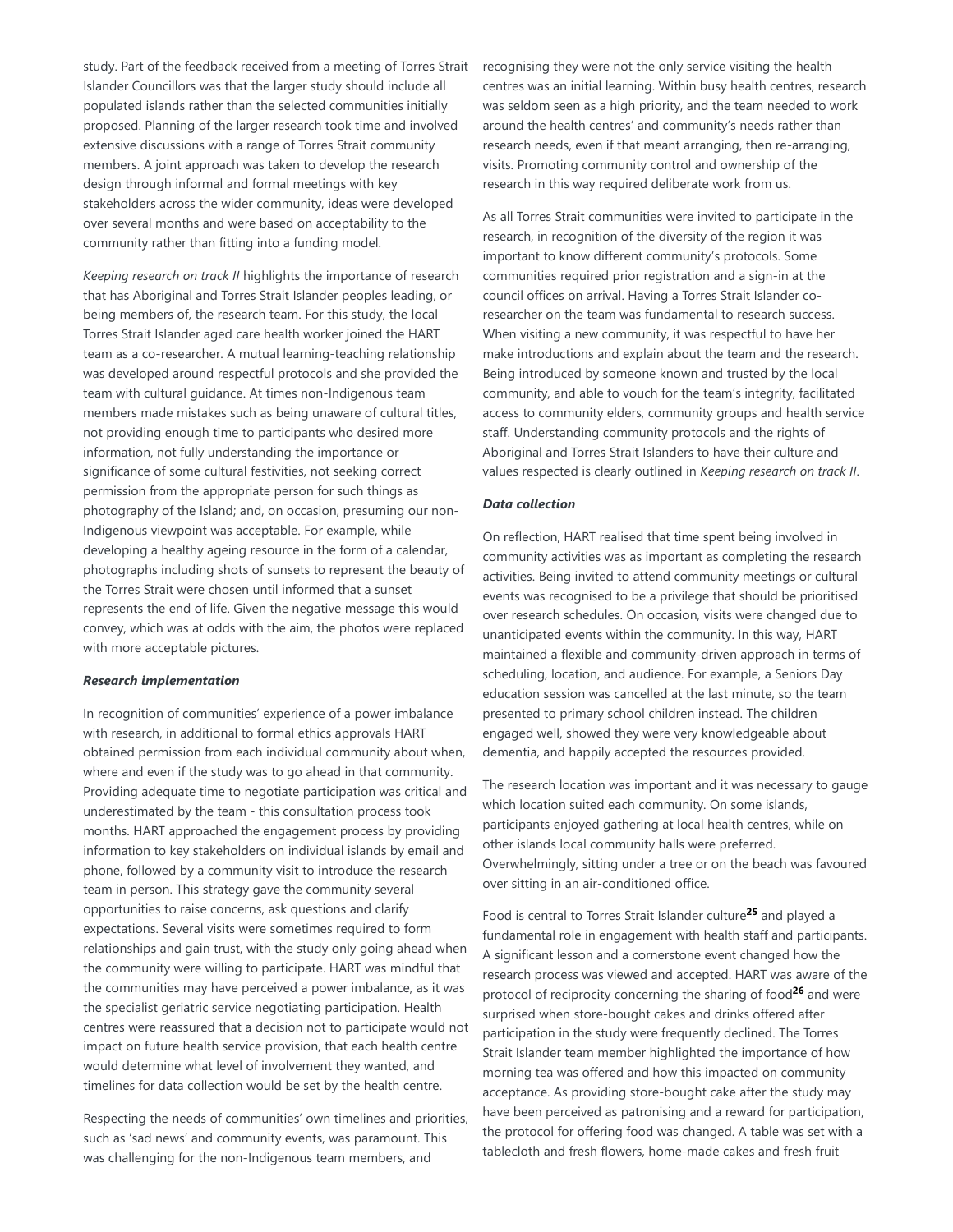study. Part of the feedback received from a meeting of Torres Strait Islander Councillors was that the larger study should include all populated islands rather than the selected communities initially proposed. Planning of the larger research took time and involved extensive discussions with a range of Torres Strait community members. A joint approach was taken to develop the research design through informal and formal meetings with key stakeholders across the wider community, ideas were developed over several months and were based on acceptability to the community rather than fitting into a funding model.

*Keeping research on track II* highlights the importance of research that has Aboriginal and Torres Strait Islander peoples leading, or being members of, the research team. For this study, the local Torres Strait Islander aged care health worker joined the HART team as a co-researcher. A mutual learning-teaching relationship was developed around respectful protocols and she provided the team with cultural guidance. At times non-Indigenous team members made mistakes such as being unaware of cultural titles, not providing enough time to participants who desired more information, not fully understanding the importance or significance of some cultural festivities, not seeking correct permission from the appropriate person for such things as photography of the Island; and, on occasion, presuming our non-Indigenous viewpoint was acceptable. For example, while developing a healthy ageing resource in the form of a calendar, photographs including shots of sunsets to represent the beauty of the Torres Strait were chosen until informed that a sunset represents the end of life. Given the negative message this would convey, which was at odds with the aim, the photos were replaced with more acceptable pictures.

#### *Research implementation*

In recognition of communities' experience of a power imbalance with research, in additional to formal ethics approvals HART obtained permission from each individual community about when, where and even if the study was to go ahead in that community. Providing adequate time to negotiate participation was critical and underestimated by the team - this consultation process took months. HART approached the engagement process by providing information to key stakeholders on individual islands by email and phone, followed by a community visit to introduce the research team in person. This strategy gave the community several opportunities to raise concerns, ask questions and clarify expectations. Several visits were sometimes required to form relationships and gain trust, with the study only going ahead when the community were willing to participate. HART was mindful that the communities may have perceived a power imbalance, as it was the specialist geriatric service negotiating participation. Health centres were reassured that a decision not to participate would not impact on future health service provision, that each health centre would determine what level of involvement they wanted, and timelines for data collection would be set by the health centre.

Respecting the needs of communities' own timelines and priorities, such as 'sad news' and community events, was paramount. This was challenging for the non-Indigenous team members, and

recognising they were not the only service visiting the health centres was an initial learning. Within busy health centres, research was seldom seen as a high priority, and the team needed to work around the health centres' and community's needs rather than research needs, even if that meant arranging, then re-arranging, visits. Promoting community control and ownership of the research in this way required deliberate work from us.

As all Torres Strait communities were invited to participate in the research, in recognition of the diversity of the region it was important to know different community's protocols. Some communities required prior registration and a sign-in at the council offices on arrival. Having a Torres Strait Islander coresearcher on the team was fundamental to research success. When visiting a new community, it was respectful to have her make introductions and explain about the team and the research. Being introduced by someone known and trusted by the local community, and able to vouch for the team's integrity, facilitated access to community elders, community groups and health service staff. Understanding community protocols and the rights of Aboriginal and Torres Strait Islanders to have their culture and values respected is clearly outlined in *Keeping research on track II*.

#### *Data collection*

On reflection, HART realised that time spent being involved in community activities was as important as completing the research activities. Being invited to attend community meetings or cultural events was recognised to be a privilege that should be prioritised over research schedules. On occasion, visits were changed due to unanticipated events within the community. In this way, HART maintained a flexible and community-driven approach in terms of scheduling, location, and audience. For example, a Seniors Day education session was cancelled at the last minute, so the team presented to primary school children instead. The children engaged well, showed they were very knowledgeable about dementia, and happily accepted the resources provided.

The research location was important and it was necessary to gauge which location suited each community. On some islands, participants enjoyed gathering at local health centres, while on other islands local community halls were preferred. Overwhelmingly, sitting under a tree or on the beach was favoured over sitting in an air-conditioned office.

Food is central to Torres Strait Islander culture<sup>25</sup> and played a fundamental role in engagement with health staff and participants. A significant lesson and a cornerstone event changed how the research process was viewed and accepted. HART was aware of the protocol of reciprocity concerning the sharing of food<sup>26</sup> and were surprised when store-bought cakes and drinks offered after participation in the study were frequently declined. The Torres Strait Islander team member highlighted the importance of how morning tea was offered and how this impacted on community acceptance. As providing store-bought cake after the study may have been perceived as patronising and a reward for participation, the protocol for offering food was changed. A table was set with a tablecloth and fresh flowers, home-made cakes and fresh fruit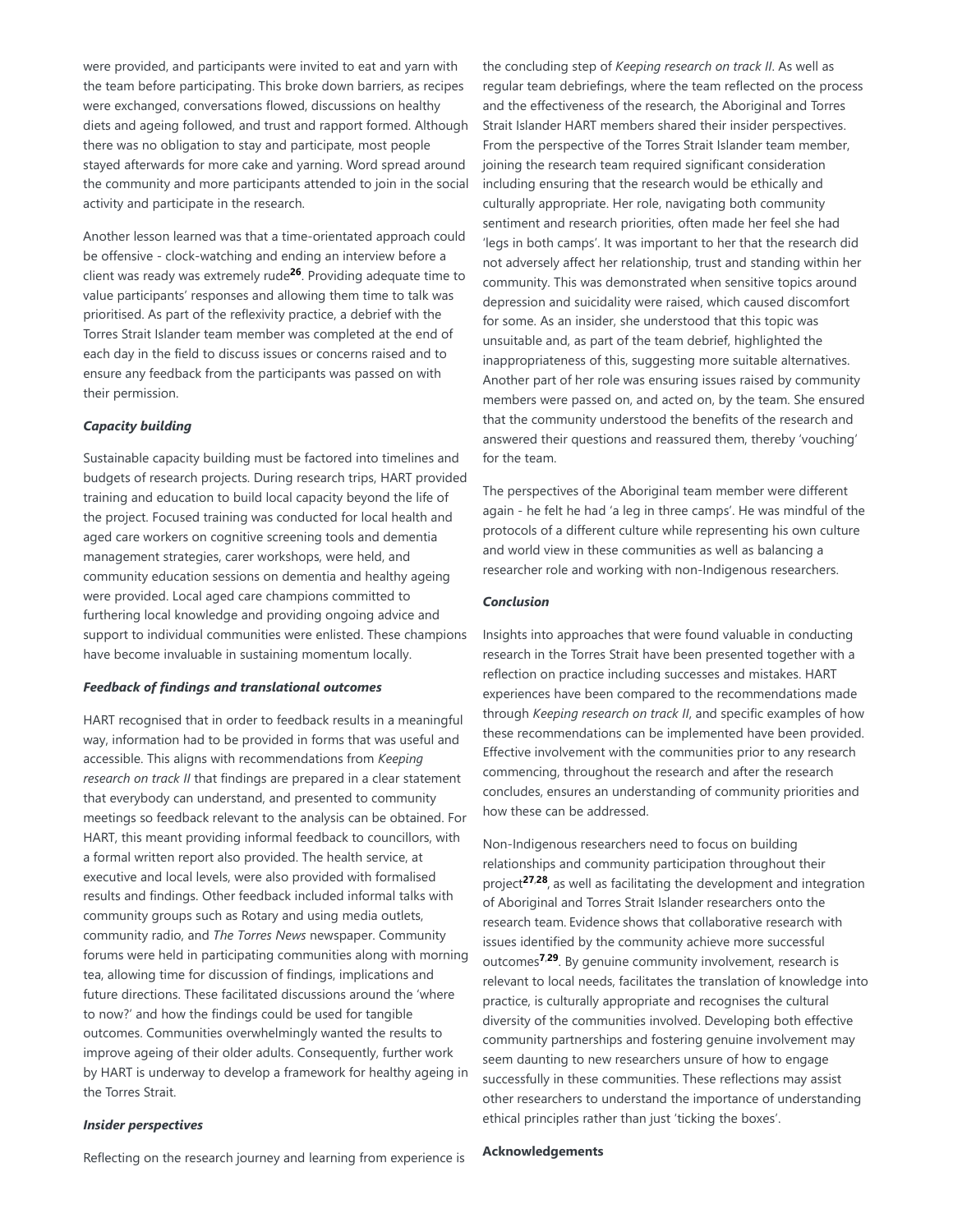were provided, and participants were invited to eat and yarn with the team before participating. This broke down barriers, as recipes were exchanged, conversations flowed, discussions on healthy diets and ageing followed, and trust and rapport formed. Although there was no obligation to stay and participate, most people stayed afterwards for more cake and yarning. Word spread around the community and more participants attended to join in the social activity and participate in the research.

Another lesson learned was that a time-orientated approach could be offensive - clock-watching and ending an interview before a client was ready was extremely rude<sup>26</sup>. Providing adequate time to value participants' responses and allowing them time to talk was prioritised. As part of the reflexivity practice, a debrief with the Torres Strait Islander team member was completed at the end of each day in the field to discuss issues or concerns raised and to ensure any feedback from the participants was passed on with their permission.

### *Capacity building*

Sustainable capacity building must be factored into timelines and budgets of research projects. During research trips, HART provided training and education to build local capacity beyond the life of the project. Focused training was conducted for local health and aged care workers on cognitive screening tools and dementia management strategies, carer workshops, were held, and community education sessions on dementia and healthy ageing were provided. Local aged care champions committed to furthering local knowledge and providing ongoing advice and support to individual communities were enlisted. These champions have become invaluable in sustaining momentum locally.

#### *Feedback of findings and translational outcomes*

HART recognised that in order to feedback results in a meaningful way, information had to be provided in forms that was useful and accessible. This aligns with recommendations from *Keeping research on track II* that findings are prepared in a clear statement that everybody can understand, and presented to community meetings so feedback relevant to the analysis can be obtained. For HART, this meant providing informal feedback to councillors, with a formal written report also provided. The health service, at executive and local levels, were also provided with formalised results and findings. Other feedback included informal talks with community groups such as Rotary and using media outlets, community radio, and *The Torres News* newspaper. Community forums were held in participating communities along with morning tea, allowing time for discussion of findings, implications and future directions. These facilitated discussions around the 'where to now?' and how the findings could be used for tangible outcomes. Communities overwhelmingly wanted the results to improve ageing of their older adults. Consequently, further work by HART is underway to develop a framework for healthy ageing in the Torres Strait.

### *Insider perspectives*

Reflecting on the research journey and learning from experience is

the concluding step of *Keeping research on track II*. As well as regular team debriefings, where the team reflected on the process and the effectiveness of the research, the Aboriginal and Torres Strait Islander HART members shared their insider perspectives. From the perspective of the Torres Strait Islander team member, joining the research team required significant consideration including ensuring that the research would be ethically and culturally appropriate. Her role, navigating both community sentiment and research priorities, often made her feel she had 'legs in both camps'. It was important to her that the research did not adversely affect her relationship, trust and standing within her community. This was demonstrated when sensitive topics around depression and suicidality were raised, which caused discomfort for some. As an insider, she understood that this topic was unsuitable and, as part of the team debrief, highlighted the inappropriateness of this, suggesting more suitable alternatives. Another part of her role was ensuring issues raised by community members were passed on, and acted on, by the team. She ensured that the community understood the benefits of the research and answered their questions and reassured them, thereby 'vouching' for the team.

The perspectives of the Aboriginal team member were different again - he felt he had 'a leg in three camps'. He was mindful of the protocols of a different culture while representing his own culture and world view in these communities as well as balancing a researcher role and working with non-Indigenous researchers.

### *Conclusion*

Insights into approaches that were found valuable in conducting research in the Torres Strait have been presented together with a reflection on practice including successes and mistakes. HART experiences have been compared to the recommendations made through *Keeping research on track II*, and specific examples of how these recommendations can be implemented have been provided. Effective involvement with the communities prior to any research commencing, throughout the research and after the research concludes, ensures an understanding of community priorities and how these can be addressed.

Non-Indigenous researchers need to focus on building relationships and community participation throughout their project<sup>27,28</sup>, as well as facilitating the development and integration of Aboriginal and Torres Strait Islander researchers onto the research team. Evidence shows that collaborative research with issues identified by the community achieve more successful outcomes<sup>7,29</sup>. By genuine community involvement, research is relevant to local needs, facilitates the translation of knowledge into practice, is culturally appropriate and recognises the cultural diversity of the communities involved. Developing both effective community partnerships and fostering genuine involvement may seem daunting to new researchers unsure of how to engage successfully in these communities. These reflections may assist other researchers to understand the importance of understanding ethical principles rather than just 'ticking the boxes'.

#### **Acknowledgements**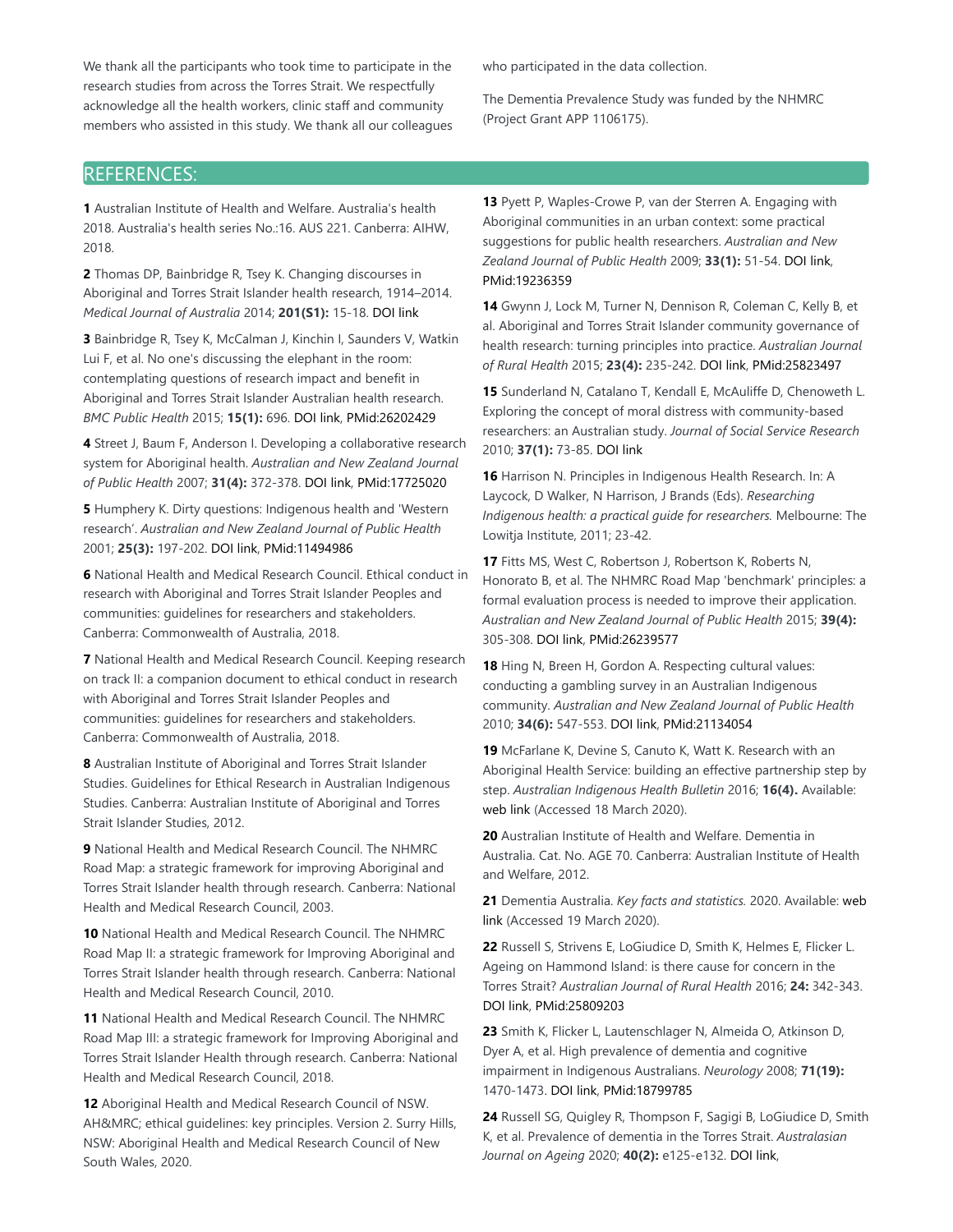We thank all the participants who took time to participate in the research studies from across the Torres Strait. We respectfully acknowledge all the health workers, clinic staff and community members who assisted in this study. We thank all our colleagues who participated in the data collection.

The Dementia Prevalence Study was funded by the NHMRC (Project Grant APP 1106175).

# REFERENCES:

**1** Australian Institute of Health and Welfare. Australia's health 2018. Australia's health series No.:16. AUS 221. Canberra: AIHW, 2018.

**2** Thomas DP, Bainbridge R, Tsey K. Changing discourses in Aboriginal and Torres Strait Islander health research, 1914–2014. *Medical Journal of Australia* 2014; **201(S1):** 15-18. DOI link

**3** Bainbridge R, Tsey K, McCalman J, Kinchin I, Saunders V, Watkin Lui F, et al. No one's discussing the elephant in the room: contemplating questions of research impact and benefit in Aboriginal and Torres Strait Islander Australian health research. *BMC Public Health* 2015; **15(1):** 696. DOI link, PMid:26202429

**4** Street J, Baum F, Anderson I. Developing a collaborative research system for Aboriginal health. *Australian and New Zealand Journal of Public Health* 2007; **31(4):** 372-378. DOI link, PMid:17725020

**5** Humphery K. Dirty questions: Indigenous health and 'Western research'. *Australian and New Zealand Journal of Public Health* 2001; **25(3):** 197-202. DOI link, PMid:11494986

**6** National Health and Medical Research Council. Ethical conduct in research with Aboriginal and Torres Strait Islander Peoples and communities: guidelines for researchers and stakeholders. Canberra: Commonwealth of Australia, 2018.

**7** National Health and Medical Research Council. Keeping research on track II: a companion document to ethical conduct in research with Aboriginal and Torres Strait Islander Peoples and communities: guidelines for researchers and stakeholders. Canberra: Commonwealth of Australia, 2018.

**8** Australian Institute of Aboriginal and Torres Strait Islander Studies. Guidelines for Ethical Research in Australian Indigenous Studies. Canberra: Australian Institute of Aboriginal and Torres Strait Islander Studies, 2012.

**9** National Health and Medical Research Council. The NHMRC Road Map: a strategic framework for improving Aboriginal and Torres Strait Islander health through research. Canberra: National Health and Medical Research Council, 2003.

**10** National Health and Medical Research Council. The NHMRC Road Map II: a strategic framework for Improving Aboriginal and Torres Strait Islander health through research. Canberra: National Health and Medical Research Council, 2010.

**11** National Health and Medical Research Council. The NHMRC Road Map III: a strategic framework for Improving Aboriginal and Torres Strait Islander Health through research. Canberra: National Health and Medical Research Council, 2018.

**12** Aboriginal Health and Medical Research Council of NSW. AH&MRC; ethical guidelines: key principles. Version 2. Surry Hills, NSW: Aboriginal Health and Medical Research Council of New South Wales, 2020.

**13** Pyett P, Waples-Crowe P, van der Sterren A. Engaging with Aboriginal communities in an urban context: some practical suggestions for public health researchers. *Australian and New Zealand Journal of Public Health* 2009; **33(1):** 51-54. DOI link, PMid:19236359

**14** Gwynn J, Lock M, Turner N, Dennison R, Coleman C, Kelly B, et al. Aboriginal and Torres Strait Islander community governance of health research: turning principles into practice. *Australian Journal of Rural Health* 2015; **23(4):** 235-242. DOI link, PMid:25823497

**15** Sunderland N, Catalano T, Kendall E, McAuliffe D, Chenoweth L. Exploring the concept of moral distress with community-based researchers: an Australian study. *Journal of Social Service Research* 2010; **37(1):** 73-85. DOI link

**16** Harrison N. Principles in Indigenous Health Research. In: A Laycock, D Walker, N Harrison, J Brands (Eds). *Researching Indigenous health: a practical guide for researchers.* Melbourne: The Lowitja Institute, 2011; 23-42.

**17** Fitts MS, West C, Robertson J, Robertson K, Roberts N, Honorato B, et al. The NHMRC Road Map 'benchmark' principles: a formal evaluation process is needed to improve their application. *Australian and New Zealand Journal of Public Health* 2015; **39(4):** 305-308. DOI link, PMid:26239577

**18** Hing N, Breen H, Gordon A. Respecting cultural values: conducting a gambling survey in an Australian Indigenous community. *Australian and New Zealand Journal of Public Health* 2010; **34(6):** 547-553. DOI link, PMid:21134054

**19** McFarlane K, Devine S, Canuto K, Watt K. Research with an Aboriginal Health Service: building an effective partnership step by step. *Australian Indigenous Health Bulletin* 2016; **16(4).** Available: web link (Accessed 18 March 2020).

**20** Australian Institute of Health and Welfare. Dementia in Australia. Cat. No. AGE 70. Canberra: Australian Institute of Health and Welfare, 2012.

**21** Dementia Australia. *Key facts and statistics.* 2020. Available: web link (Accessed 19 March 2020).

**22** Russell S, Strivens E, LoGiudice D, Smith K, Helmes E, Flicker L. Ageing on Hammond Island: is there cause for concern in the Torres Strait? *Australian Journal of Rural Health* 2016; **24:** 342-343. DOI link, PMid:25809203

**23** Smith K, Flicker L, Lautenschlager N, Almeida O, Atkinson D, Dyer A, et al. High prevalence of dementia and cognitive impairment in Indigenous Australians. *Neurology* 2008; **71(19):** 1470-1473. DOI link, PMid:18799785

**24** Russell SG, Quigley R, Thompson F, Sagigi B, LoGiudice D, Smith K, et al. Prevalence of dementia in the Torres Strait. *Australasian Journal on Ageing* 2020; **40(2):** e125-e132. DOI link,